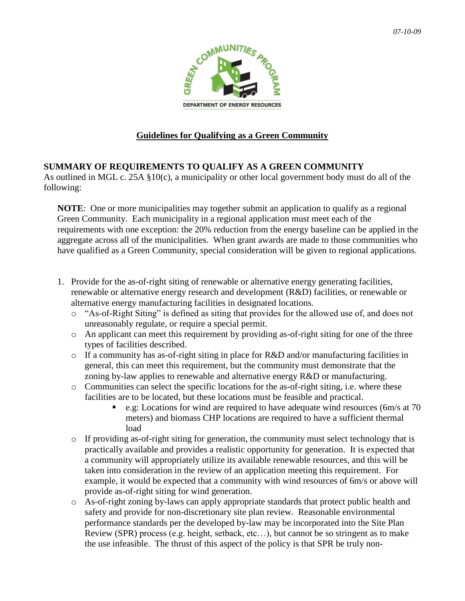

## **Guidelines for Qualifying as a Green Community**

## **SUMMARY OF REQUIREMENTS TO QUALIFY AS A GREEN COMMUNITY**

As outlined in MGL c. 25A §10(c), a municipality or other local government body must do all of the following:

**NOTE**: One or more municipalities may together submit an application to qualify as a regional Green Community. Each municipality in a regional application must meet each of the requirements with one exception: the 20% reduction from the energy baseline can be applied in the aggregate across all of the municipalities. When grant awards are made to those communities who have qualified as a Green Community, special consideration will be given to regional applications.

- 1. Provide for the as-of-right siting of renewable or alternative energy generating facilities, renewable or alternative energy research and development (R&D) facilities, or renewable or alternative energy manufacturing facilities in designated locations.
	- o "As-of-Right Siting" is defined as siting that provides for the allowed use of, and does not unreasonably regulate, or require a special permit.
	- o An applicant can meet this requirement by providing as-of-right siting for one of the three types of facilities described.
	- $\circ$  If a community has as-of-right siting in place for R&D and/or manufacturing facilities in general, this can meet this requirement, but the community must demonstrate that the zoning by-law applies to renewable and alternative energy R&D or manufacturing.
	- o Communities can select the specific locations for the as-of-right siting, i.e. where these facilities are to be located, but these locations must be feasible and practical.
		- e.g: Locations for wind are required to have adequate wind resources (6m/s at 70 meters) and biomass CHP locations are required to have a sufficient thermal load
	- $\circ$  If providing as-of-right siting for generation, the community must select technology that is practically available and provides a realistic opportunity for generation. It is expected that a community will appropriately utilize its available renewable resources, and this will be taken into consideration in the review of an application meeting this requirement. For example, it would be expected that a community with wind resources of 6m/s or above will provide as-of-right siting for wind generation.
	- o As-of-right zoning by-laws can apply appropriate standards that protect public health and safety and provide for non-discretionary site plan review. Reasonable environmental performance standards per the developed by-law may be incorporated into the Site Plan Review (SPR) process (e.g. height, setback, etc…), but cannot be so stringent as to make the use infeasible. The thrust of this aspect of the policy is that SPR be truly non-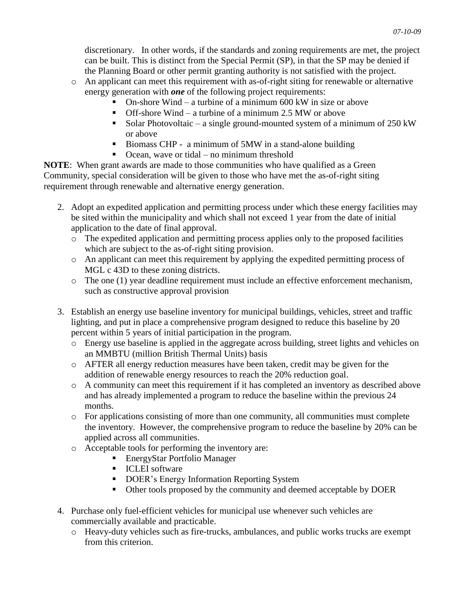discretionary. In other words, if the standards and zoning requirements are met, the project can be built. This is distinct from the Special Permit (SP), in that the SP may be denied if the Planning Board or other permit granting authority is not satisfied with the project.

- o An applicant can meet this requirement with as-of-right siting for renewable or alternative energy generation with *one* of the following project requirements:
	- On-shore Wind a turbine of a minimum 600 kW in size or above
	- Off-shore Wind a turbine of a minimum 2.5 MW or above
	- Solar Photovoltaic a single ground-mounted system of a minimum of  $250 \text{ kW}$ or above
	- Biomass CHP a minimum of 5MW in a stand-alone building
	- $\blacksquare$  Ocean, wave or tidal no minimum threshold

**NOTE**: When grant awards are made to those communities who have qualified as a Green Community, special consideration will be given to those who have met the as-of-right siting requirement through renewable and alternative energy generation.

- 2. Adopt an expedited application and permitting process under which these energy facilities may be sited within the municipality and which shall not exceed 1 year from the date of initial application to the date of final approval.
	- o The expedited application and permitting process applies only to the proposed facilities which are subject to the as-of-right siting provision.
	- o An applicant can meet this requirement by applying the expedited permitting process of MGL c 43D to these zoning districts.
	- o The one (1) year deadline requirement must include an effective enforcement mechanism, such as constructive approval provision
- 3. Establish an energy use baseline inventory for municipal buildings, vehicles, street and traffic lighting, and put in place a comprehensive program designed to reduce this baseline by 20 percent within 5 years of initial participation in the program.
	- o Energy use baseline is applied in the aggregate across building, street lights and vehicles on an MMBTU (million British Thermal Units) basis
	- o AFTER all energy reduction measures have been taken, credit may be given for the addition of renewable energy resources to reach the 20% reduction goal.
	- o A community can meet this requirement if it has completed an inventory as described above and has already implemented a program to reduce the baseline within the previous 24 months.
	- o For applications consisting of more than one community, all communities must complete the inventory. However, the comprehensive program to reduce the baseline by 20% can be applied across all communities.
	- o Acceptable tools for performing the inventory are:
		- EnergyStar Portfolio Manager
		- **ICLEI** software
		- DOER's Energy Information Reporting System
		- Other tools proposed by the community and deemed acceptable by DOER
- 4. Purchase only fuel-efficient vehicles for municipal use whenever such vehicles are commercially available and practicable.
	- o Heavy-duty vehicles such as fire-trucks, ambulances, and public works trucks are exempt from this criterion.